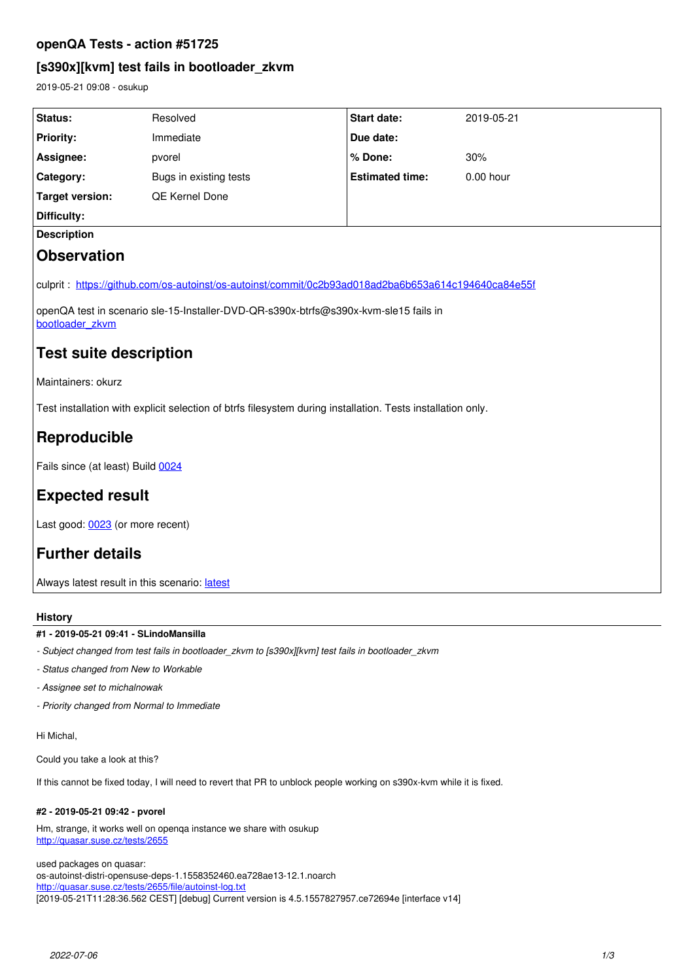# **openQA Tests - action #51725**

# **[s390x][kvm] test fails in bootloader\_zkvm**

2019-05-21 09:08 - osukup

| Status:                                                                | Resolved                                                                                                                                                                                                                                                                                                   | Start date:            | 2019-05-21  |  |
|------------------------------------------------------------------------|------------------------------------------------------------------------------------------------------------------------------------------------------------------------------------------------------------------------------------------------------------------------------------------------------------|------------------------|-------------|--|
| <b>Priority:</b>                                                       | Immediate                                                                                                                                                                                                                                                                                                  | Due date:              |             |  |
| Assignee:                                                              | pvorel                                                                                                                                                                                                                                                                                                     | % Done:                | 30%         |  |
| Category:                                                              | Bugs in existing tests                                                                                                                                                                                                                                                                                     | <b>Estimated time:</b> | $0.00$ hour |  |
| <b>Target version:</b>                                                 | QE Kernel Done                                                                                                                                                                                                                                                                                             |                        |             |  |
| Difficulty:                                                            |                                                                                                                                                                                                                                                                                                            |                        |             |  |
| <b>Description</b>                                                     |                                                                                                                                                                                                                                                                                                            |                        |             |  |
| <b>Observation</b>                                                     |                                                                                                                                                                                                                                                                                                            |                        |             |  |
| bootloader zkvm<br><b>Test suite description</b><br>Maintainers: okurz | culprit: https://github.com/os-autoinst/os-autoinst/commit/0c2b93ad018ad2ba6b653a614c194640ca84e55f<br>openQA test in scenario sle-15-Installer-DVD-QR-s390x-btrfs@s390x-kvm-sle15 fails in<br>Test installation with explicit selection of btrfs filesystem during installation. Tests installation only. |                        |             |  |
| Reproducible                                                           |                                                                                                                                                                                                                                                                                                            |                        |             |  |
| Fails since (at least) Build 0024                                      |                                                                                                                                                                                                                                                                                                            |                        |             |  |
| <b>Expected result</b>                                                 |                                                                                                                                                                                                                                                                                                            |                        |             |  |
| Last good: 0023 (or more recent)                                       |                                                                                                                                                                                                                                                                                                            |                        |             |  |

# **Further details**

Always [latest](https://openqa.suse.de/tests/latest?machine=s390x-kvm-sle15&distri=sle&test=btrfs&flavor=Installer-DVD-QR&version=15&arch=s390x) result in this scenario: latest

# **History**

## **#1 - 2019-05-21 09:41 - SLindoMansilla**

*- Subject changed from test fails in bootloader\_zkvm to [s390x][kvm] test fails in bootloader\_zkvm*

- *Status changed from New to Workable*
- *Assignee set to michalnowak*
- *Priority changed from Normal to Immediate*

Hi Michal,

Could you take a look at this?

If this cannot be fixed today, I will need to revert that PR to unblock people working on s390x-kvm while it is fixed.

# **#2 - 2019-05-21 09:42 - pvorel**

Hm, strange, it works well on openqa instance we share with osukup <http://quasar.suse.cz/tests/2655>

used packages on quasar: os-autoinst-distri-opensuse-deps-1.1558352460.ea728ae13-12.1.noarch <http://quasar.suse.cz/tests/2655/file/autoinst-log.txt> [2019-05-21T11:28:36.562 CEST] [debug] Current version is 4.5.1557827957.ce72694e [interface v14]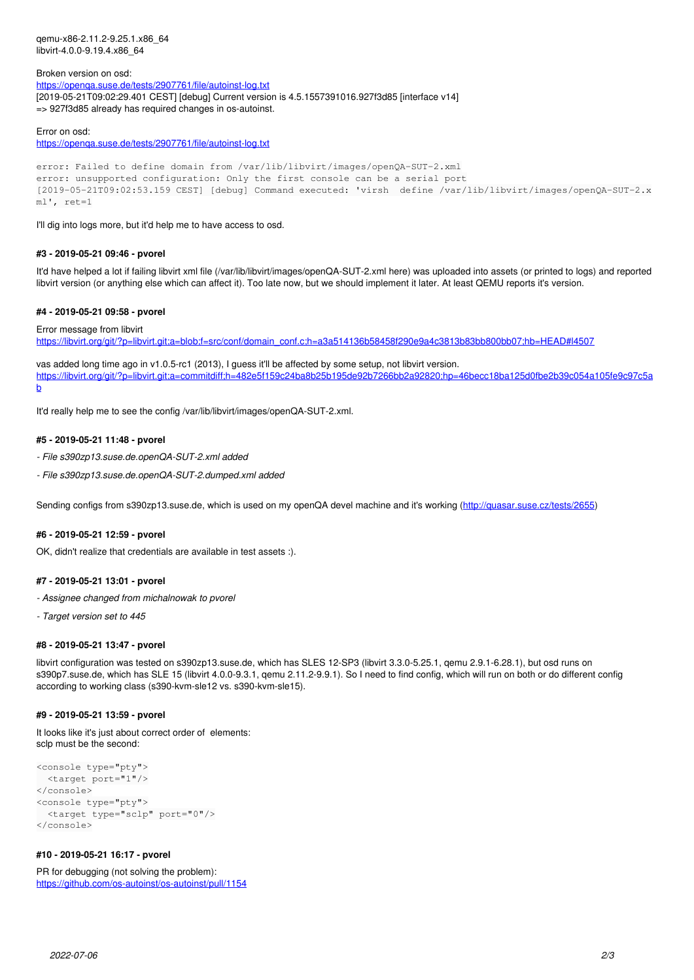qemu-x86-2.11.2-9.25.1.x86\_64 libvirt-4.0.0-9.19.4.x86\_64

Broken version on osd: <https://openqa.suse.de/tests/2907761/file/autoinst-log.txt> [2019-05-21T09:02:29.401 CEST] [debug] Current version is 4.5.1557391016.927f3d85 [interface v14] => 927f3d85 already has required changes in os-autoinst.

#### Error on osd:

<https://openqa.suse.de/tests/2907761/file/autoinst-log.txt>

```
error: Failed to define domain from /var/lib/libvirt/images/openQA-SUT-2.xml
error: unsupported configuration: Only the first console can be a serial port
[2019-05-21T09:02:53.159 CEST] [debug] Command executed: 'virsh  define /var/lib/libvirt/images/openQA-SUT-2.x
ml', ref=1
```
I'll dig into logs more, but it'd help me to have access to osd.

#### **#3 - 2019-05-21 09:46 - pvorel**

It'd have helped a lot if failing libvirt xml file (/var/lib/libvirt/images/openQA-SUT-2.xml here) was uploaded into assets (or printed to logs) and reported libvirt version (or anything else which can affect it). Too late now, but we should implement it later. At least QEMU reports it's version.

#### **#4 - 2019-05-21 09:58 - pvorel**

Error message from libvirt

[https://libvirt.org/git/?p=libvirt.git;a=blob;f=src/conf/domain\\_conf.c;h=a3a514136b58458f290e9a4c3813b83bb800bb07;hb=HEAD#l4507](https://libvirt.org/git/?p=libvirt.git;a=blob;f=src/conf/domain_conf.c;h=a3a514136b58458f290e9a4c3813b83bb800bb07;hb=HEAD#l4507)

vas added long time ago in v1.0.5-rc1 (2013), I guess it'll be affected by some setup, not libvirt version. [https://libvirt.org/git/?p=libvirt.git;a=commitdiff;h=482e5f159c24ba8b25b195de92b7266bb2a92820;hp=46becc18ba125d0fbe2b39c054a105fe9c97c5a](https://libvirt.org/git/?p=libvirt.git;a=commitdiff;h=482e5f159c24ba8b25b195de92b7266bb2a92820;hp=46becc18ba125d0fbe2b39c054a105fe9c97c5ab) [b](https://libvirt.org/git/?p=libvirt.git;a=commitdiff;h=482e5f159c24ba8b25b195de92b7266bb2a92820;hp=46becc18ba125d0fbe2b39c054a105fe9c97c5ab)

It'd really help me to see the config /var/lib/libvirt/images/openQA-SUT-2.xml.

#### **#5 - 2019-05-21 11:48 - pvorel**

- *File s390zp13.suse.de.openQA-SUT-2.xml added*
- *File s390zp13.suse.de.openQA-SUT-2.dumped.xml added*

Sending configs from s390zp13.suse.de, which is used on my openQA devel machine and it's working [\(http://quasar.suse.cz/tests/2655](http://quasar.suse.cz/tests/2655))

#### **#6 - 2019-05-21 12:59 - pvorel**

OK, didn't realize that credentials are available in test assets :).

#### **#7 - 2019-05-21 13:01 - pvorel**

- *Assignee changed from michalnowak to pvorel*
- *Target version set to 445*

#### **#8 - 2019-05-21 13:47 - pvorel**

libvirt configuration was tested on s390zp13.suse.de, which has SLES 12-SP3 (libvirt 3.3.0-5.25.1, qemu 2.9.1-6.28.1), but osd runs on s390p7.suse.de, which has SLE 15 (libvirt 4.0.0-9.3.1, qemu 2.11.2-9.9.1). So I need to find config, which will run on both or do different config according to working class (s390-kvm-sle12 vs. s390-kvm-sle15).

#### **#9 - 2019-05-21 13:59 - pvorel**

It looks like it's just about correct order of elements: sclp must be the second:

```
<console type="pty">
   <target port="1"/>
</console>
<console type="pty">
    <target type="sclp" port="0"/>
</console>
```
#### **#10 - 2019-05-21 16:17 - pvorel**

PR for debugging (not solving the problem): <https://github.com/os-autoinst/os-autoinst/pull/1154>